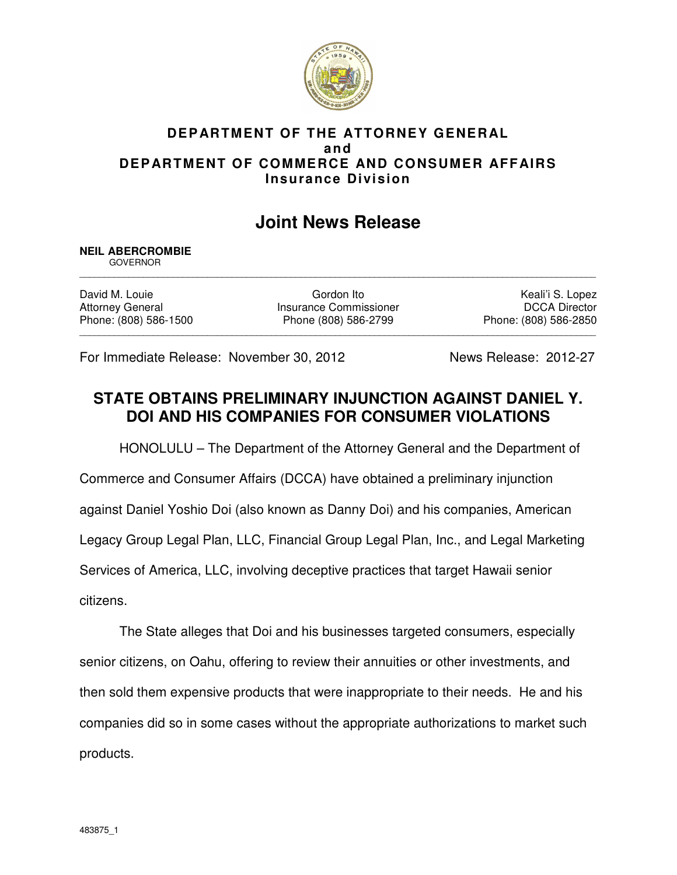

## **DEPARTMENT OF THE ATTORNEY GENERAL and DEPARTMENT OF COMMERCE AND CONSUMER AFFAIRS Insurance Division**

## **Joint News Release**

## **NEIL ABERCROMBIE**

 GOVERNOR \_\_\_\_\_\_\_\_\_\_\_\_\_\_\_\_\_\_\_\_\_\_\_\_\_\_\_\_\_\_\_\_\_\_\_\_\_\_\_\_\_\_\_\_\_\_\_\_\_\_\_\_\_\_\_\_\_\_\_\_\_\_\_\_\_\_\_\_\_\_\_\_\_\_\_\_\_\_\_\_\_\_\_\_\_\_\_\_\_\_\_\_\_\_\_\_\_\_\_\_\_\_\_\_\_

\_\_\_\_\_\_\_\_\_\_\_\_\_\_\_\_\_\_\_\_\_\_\_\_\_\_\_\_\_\_\_\_\_\_\_\_\_\_\_\_\_\_\_\_\_\_\_\_\_\_\_\_\_\_\_\_\_\_\_\_\_\_\_\_\_\_\_\_\_\_\_\_\_\_\_\_\_\_\_\_\_\_\_\_\_\_\_\_\_\_\_\_\_\_\_\_\_\_\_\_\_\_\_\_\_

David M. Louie **Communist Communist Communist Communist Communist Communist Communist Communist Communist Communist Communist Communist Communist Communist Communist Communist Communist Communist Communist Communist Commun** Attorney General **Insurance Commissioner** Mattorney General DCCA Director Phone: (808) 586-1500 Phone (808) 586-2799 Phone: (808) 586-2850

For Immediate Release: November 30, 2012News Release: 2012-27

## **STATE OBTAINS PRELIMINARY INJUNCTION AGAINST DANIEL Y. DOI AND HIS COMPANIES FOR CONSUMER VIOLATIONS**

HONOLULU – The Department of the Attorney General and the Department of

Commerce and Consumer Affairs (DCCA) have obtained a preliminary injunction

against Daniel Yoshio Doi (also known as Danny Doi) and his companies, American

Legacy Group Legal Plan, LLC, Financial Group Legal Plan, Inc., and Legal Marketing

Services of America, LLC, involving deceptive practices that target Hawaii senior

citizens.

The State alleges that Doi and his businesses targeted consumers, especially senior citizens, on Oahu, offering to review their annuities or other investments, and then sold them expensive products that were inappropriate to their needs. He and his companies did so in some cases without the appropriate authorizations to market such products.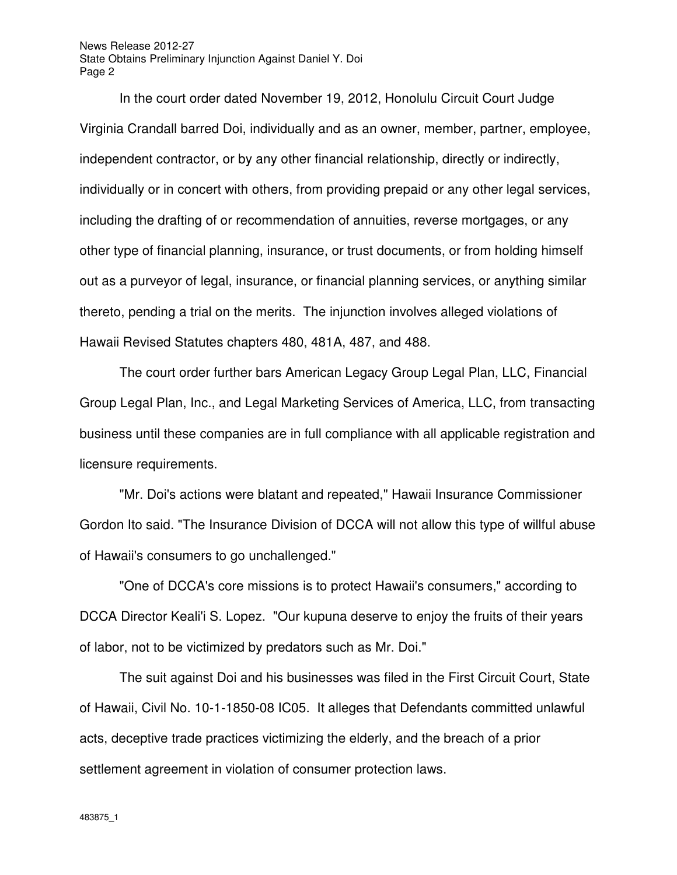News Release 2012-27 State Obtains Preliminary Injunction Against Daniel Y. Doi Page 2

In the court order dated November 19, 2012, Honolulu Circuit Court Judge Virginia Crandall barred Doi, individually and as an owner, member, partner, employee, independent contractor, or by any other financial relationship, directly or indirectly, individually or in concert with others, from providing prepaid or any other legal services, including the drafting of or recommendation of annuities, reverse mortgages, or any other type of financial planning, insurance, or trust documents, or from holding himself out as a purveyor of legal, insurance, or financial planning services, or anything similar thereto, pending a trial on the merits. The injunction involves alleged violations of Hawaii Revised Statutes chapters 480, 481A, 487, and 488.

The court order further bars American Legacy Group Legal Plan, LLC, Financial Group Legal Plan, Inc., and Legal Marketing Services of America, LLC, from transacting business until these companies are in full compliance with all applicable registration and licensure requirements.

"Mr. Doi's actions were blatant and repeated," Hawaii Insurance Commissioner Gordon Ito said. "The Insurance Division of DCCA will not allow this type of willful abuse of Hawaii's consumers to go unchallenged."

"One of DCCA's core missions is to protect Hawaii's consumers," according to DCCA Director Keali'i S. Lopez. "Our kupuna deserve to enjoy the fruits of their years of labor, not to be victimized by predators such as Mr. Doi."

The suit against Doi and his businesses was filed in the First Circuit Court, State of Hawaii, Civil No. 10-1-1850-08 IC05. It alleges that Defendants committed unlawful acts, deceptive trade practices victimizing the elderly, and the breach of a prior settlement agreement in violation of consumer protection laws.